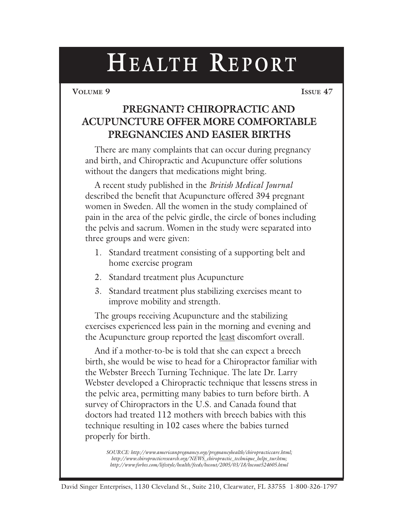**VOLUME 9 ISSUE 47**

## **PREGNANT? CHIROPRACTIC AND ACUPUNCTURE OFFER MORE COMFORTABLE PREGNANCIES AND EASIER BIRTHS**

There are many complaints that can occur during pregnancy and birth, and Chiropractic and Acupuncture offer solutions without the dangers that medications might bring.

A recent study published in the *British Medical Journal* described the benefit that Acupuncture offered 394 pregnant women in Sweden. All the women in the study complained of pain in the area of the pelvic girdle, the circle of bones including the pelvis and sacrum. Women in the study were separated into three groups and were given:

- 1. Standard treatment consisting of a supporting belt and home exercise program
- 2. Standard treatment plus Acupuncture
- 3. Standard treatment plus stabilizing exercises meant to improve mobility and strength.

The groups receiving Acupuncture and the stabilizing exercises experienced less pain in the morning and evening and the Acupuncture group reported the least discomfort overall.

And if a mother-to-be is told that she can expect a breech birth, she would be wise to head for a Chiropractor familiar with the Webster Breech Turning Technique. The late Dr. Larry Webster developed a Chiropractic technique that lessens stress in the pelvic area, permitting many babies to turn before birth. A survey of Chiropractors in the U.S. and Canada found that doctors had treated 112 mothers with breech babies with this technique resulting in 102 cases where the babies turned properly for birth.

*SOURCE: http://www.americanpregnancy.org/pregnancyhealth/chiropracticcare.html; http://www.chiropracticresearch.org/NEWS\_chiropractic\_technique\_helps\_tur.htm; http://www.forbes.com/lifestyle/health/feeds/hscout/2005/03/18/hscout524605.html*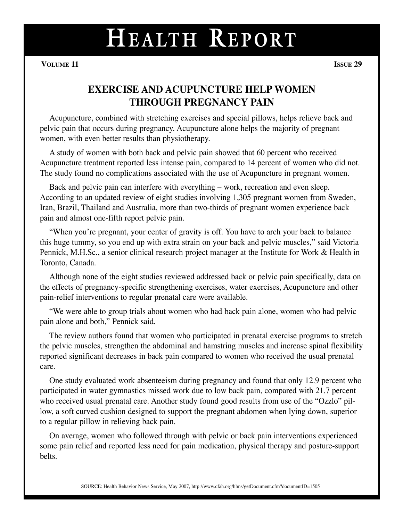**VOLUME 11 ISSUE 29**

#### **EXERCISE AND ACUPUNCTURE HELP WOMEN THROUGH PREGNANCY PAIN**

Acupuncture, combined with stretching exercises and special pillows, helps relieve back and pelvic pain that occurs during pregnancy. Acupuncture alone helps the majority of pregnant women, with even better results than physiotherapy.

A study of women with both back and pelvic pain showed that 60 percent who received Acupuncture treatment reported less intense pain, compared to 14 percent of women who did not. The study found no complications associated with the use of Acupuncture in pregnant women.

Back and pelvic pain can interfere with everything – work, recreation and even sleep. According to an updated review of eight studies involving 1,305 pregnant women from Sweden, Iran, Brazil, Thailand and Australia, more than two-thirds of pregnant women experience back pain and almost one-fifth report pelvic pain.

"When you're pregnant, your center of gravity is off. You have to arch your back to balance this huge tummy, so you end up with extra strain on your back and pelvic muscles," said Victoria Pennick, M.H.Sc., a senior clinical research project manager at the Institute for Work & Health in Toronto, Canada.

Although none of the eight studies reviewed addressed back or pelvic pain specifically, data on the effects of pregnancy-specific strengthening exercises, water exercises, Acupuncture and other pain-relief interventions to regular prenatal care were available.

"We were able to group trials about women who had back pain alone, women who had pelvic pain alone and both," Pennick said.

The review authors found that women who participated in prenatal exercise programs to stretch the pelvic muscles, strengthen the abdominal and hamstring muscles and increase spinal flexibility reported significant decreases in back pain compared to women who received the usual prenatal care.

One study evaluated work absenteeism during pregnancy and found that only 12.9 percent who participated in water gymnastics missed work due to low back pain, compared with 21.7 percent who received usual prenatal care. Another study found good results from use of the "Ozzlo" pillow, a soft curved cushion designed to support the pregnant abdomen when lying down, superior to a regular pillow in relieving back pain.

On average, women who followed through with pelvic or back pain interventions experienced some pain relief and reported less need for pain medication, physical therapy and posture-support belts.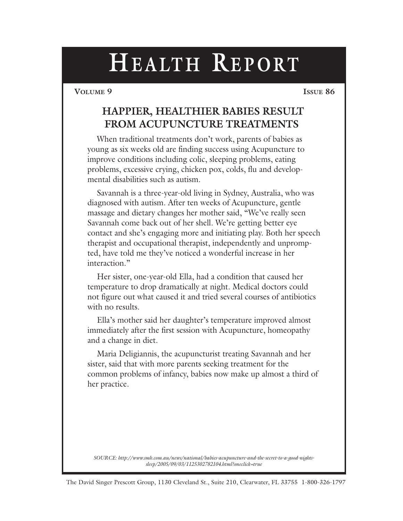**VOLUME 9 ISSUE 86**

#### **HAPPIER, HEALTHIER BABIES RESULT FROM ACUPUNCTURE TREATMENTS**

When traditional treatments don't work, parents of babies as young as six weeks old are finding success using Acupuncture to improve conditions including colic, sleeping problems, eating problems, excessive crying, chicken pox, colds, flu and developmental disabilities such as autism.

Savannah is a three-year-old living in Sydney, Australia, who was diagnosed with autism. After ten weeks of Acupuncture, gentle massage and dietary changes her mother said, "We've really seen Savannah come back out of her shell. We're getting better eye contact and she's engaging more and initiating play. Both her speech therapist and occupational therapist, independently and unprompted, have told me they've noticed a wonderful increase in her interaction."

Her sister, one-year-old Ella, had a condition that caused her temperature to drop dramatically at night. Medical doctors could not figure out what caused it and tried several courses of antibiotics with no results.

Ella's mother said her daughter's temperature improved almost immediately after the first session with Acupuncture, homeopathy and a change in diet.

Maria Deligiannis, the acupuncturist treating Savannah and her sister, said that with more parents seeking treatment for the common problems of infancy, babies now make up almost a third of her practice.

*SOURCE: http://www.smh.com.au/news/national/babies-acupuncture-and-the-secret-to-a-good-nightssleep/2005/09/03/1125302782104.html?oneclick=true*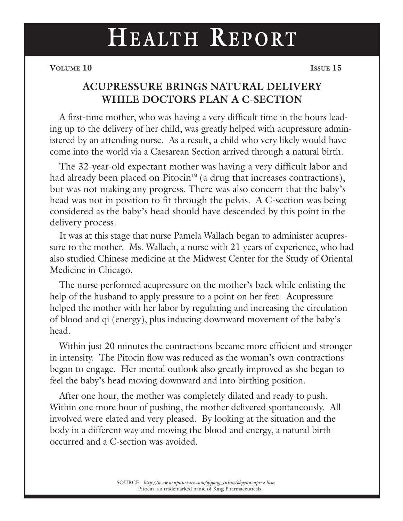# **HEALTH REPORT**

**VOLUME** 10 **ISSUE** 15

### **ACUPRESSURE BRINGS NATURAL DELIVERY WHILE DOCTORS PLAN A C-SECTION**

A first-time mother, who was having a very difficult time in the hours leading up to the delivery of her child, was greatly helped with acupressure administered by an attending nurse. As a result, a child who very likely would have come into the world via a Caesarean Section arrived through a natural birth.

The 32-year-old expectant mother was having a very difficult labor and had already been placed on Pitocin<sup> $M$ </sup> (a drug that increases contractions), but was not making any progress. There was also concern that the baby's head was not in position to fit through the pelvis. A C-section was being considered as the baby's head should have descended by this point in the delivery process.

It was at this stage that nurse Pamela Wallach began to administer acupressure to the mother. Ms. Wallach, a nurse with 21 years of experience, who had also studied Chinese medicine at the Midwest Center for the Study of Oriental Medicine in Chicago.

The nurse performed acupressure on the mother's back while enlisting the help of the husband to apply pressure to a point on her feet. Acupressure helped the mother with her labor by regulating and increasing the circulation of blood and qi (energy), plus inducing downward movement of the baby's head.

Within just 20 minutes the contractions became more efficient and stronger in intensity. The Pitocin flow was reduced as the woman's own contractions began to engage. Her mental outlook also greatly improved as she began to feel the baby's head moving downward and into birthing position.

After one hour, the mother was completely dilated and ready to push. Within one more hour of pushing, the mother delivered spontaneously. All involved were elated and very pleased. By looking at the situation and the body in a different way and moving the blood and energy, a natural birth occurred and a C-section was avoided.